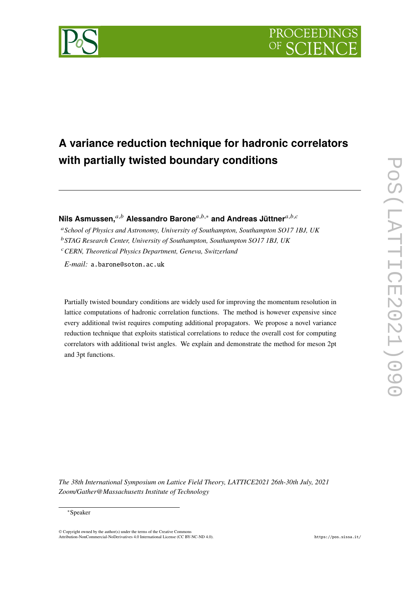

# **A variance reduction technique for hadronic correlators with partially twisted boundary conditions**

## **Nils Asmussen,**<sup>*a,b*</sup> Alessandro Barone<sup>*a,b,∗*</sup> and Andreas Jüttner<sup>*a,b,c*</sup>

*School of Physics and Astronomy, University of Southampton, Southampton SO17 1BJ, UK STAG Research Center, University of Southampton, Southampton SO17 1BJ, UK CERN, Theoretical Physics Department, Geneva, Switzerland*

*E-mail:* [a.barone@soton.ac.uk](mailto:a.barone@soton.ac.uk)

Partially twisted boundary conditions are widely used for improving the momentum resolution in lattice computations of hadronic correlation functions. The method is however expensive since every additional twist requires computing additional propagators. We propose a novel variance reduction technique that exploits statistical correlations to reduce the overall cost for computing correlators with additional twist angles. We explain and demonstrate the method for meson 2pt and 3pt functions.

*The 38th International Symposium on Lattice Field Theory, LATTICE2021 26th-30th July, 2021 Zoom/Gather@Massachusetts Institute of Technology*

#### <sup>∗</sup>Speaker

© Copyright owned by the author(s) under the terms of the Creative Commons Attribution-NonCommercial-NoDerivatives 4.0 International License (CC BY-NC-ND 4.0). <https://pos.sissa.it/>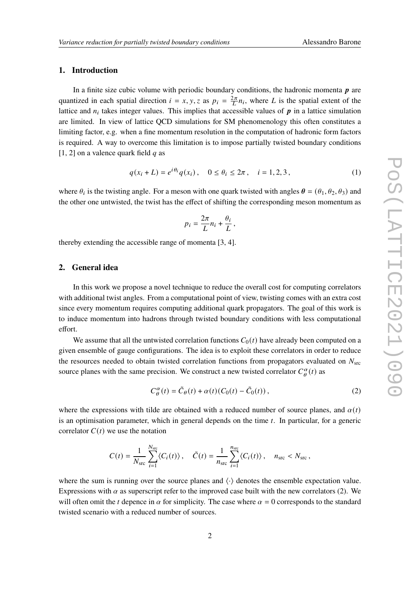### **1. Introduction**

In a finite size cubic volume with periodic boundary conditions, the hadronic momenta  $\boldsymbol{p}$  are quantized in each spatial direction  $i = x, y, z$  as  $p_i = \frac{2\pi}{L} n_i$ , where L is the spatial extent of the lattice and  $n_i$  takes integer values. This implies that accessible values of  $p$  in a lattice simulation are limited. In view of lattice QCD simulations for SM phenomenology this often constitutes a limiting factor, e.g. when a fine momentum resolution in the computation of hadronic form factors is required. A way to overcome this limitation is to impose partially twisted boundary conditions [\[1,](#page-9-0) [2\]](#page-9-1) on a valence quark field  $q$  as

$$
q(x_i + L) = e^{i\theta_i} q(x_i), \quad 0 \le \theta_i \le 2\pi, \quad i = 1, 2, 3,
$$
 (1)

where  $\theta_i$  is the twisting angle. For a meson with one quark twisted with angles  $\theta = (\theta_1, \theta_2, \theta_3)$  and the other one untwisted, the twist has the effect of shifting the corresponding meson momentum as

$$
p_i = \frac{2\pi}{L}n_i + \frac{\theta_i}{L},
$$

thereby extending the accessible range of momenta [\[3,](#page-9-2) [4\]](#page-9-3).

### **2. General idea**

In this work we propose a novel technique to reduce the overall cost for computing correlators with additional twist angles. From a computational point of view, twisting comes with an extra cost since every momentum requires computing additional quark propagators. The goal of this work is to induce momentum into hadrons through twisted boundary conditions with less computational effort.

We assume that all the untwisted correlation functions  $C_0(t)$  have already been computed on a given ensemble of gauge configurations. The idea is to exploit these correlators in order to reduce the resources needed to obtain twisted correlation functions from propagators evaluated on  $N<sub>src</sub>$ source planes with the same precision. We construct a new twisted correlator  $C_{\theta}^{\alpha}(t)$  as

<span id="page-1-0"></span>
$$
C_{\theta}^{\alpha}(t) = \tilde{C}_{\theta}(t) + \alpha(t)(C_0(t) - \tilde{C}_0(t)),
$$
\n(2)

where the expressions with tilde are obtained with a reduced number of source planes, and  $\alpha(t)$ is an optimisation parameter, which in general depends on the time  $t$ . In particular, for a generic correlator  $C(t)$  we use the notation

$$
C(t) = \frac{1}{N_{\rm src}} \sum_{i=1}^{N_{\rm src}} \langle C_i(t) \rangle \, , \quad \tilde{C}(t) = \frac{1}{n_{\rm src}} \sum_{i=1}^{n_{\rm src}} \langle C_i(t) \rangle \, , \quad n_{\rm src} < N_{\rm src} \, ,
$$

where the sum is running over the source planes and  $\langle \cdot \rangle$  denotes the ensemble expectation value. Expressions with  $\alpha$  as superscript refer to the improved case built with the new correlators [\(2\)](#page-1-0). We will often omit the *t* depence in  $\alpha$  for simplicity. The case where  $\alpha = 0$  corresponds to the standard twisted scenario with a reduced number of sources.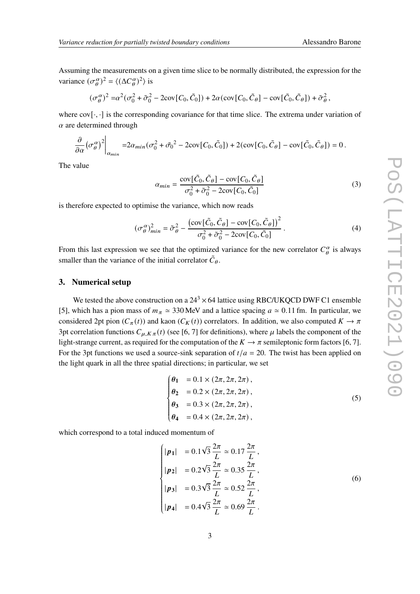Assuming the measurements on a given time slice to be normally distributed, the expression for the variance  $(\sigma_\theta^{\alpha})^2 = \langle (\Delta C_\theta^{\alpha})^2 \rangle$  is

$$
(\sigma_\theta^{\alpha})^2 = \alpha^2(\sigma_0^2 + \tilde{\sigma}_0^2 - 2\text{cov}[C_0, \tilde{C}_0]) + 2\alpha(\text{cov}[C_0, \tilde{C}_\theta] - \text{cov}[\tilde{C}_0, \tilde{C}_\theta]) + \tilde{\sigma}_\theta^2,
$$

where  $cov[\cdot, \cdot]$  is the corresponding covariance for that time slice. The extrema under variation of  $\alpha$  are determined through

$$
\frac{\partial}{\partial \alpha} (\sigma_\theta^{\alpha})^2 \bigg|_{\alpha_{min}} = 2\alpha_{min} (\sigma_0^2 + \tilde{\sigma_0}^2 - 2\text{cov}[C_0, \tilde{C}_0]) + 2(\text{cov}[C_0, \tilde{C}_\theta] - \text{cov}[\tilde{C}_0, \tilde{C}_\theta]) = 0.
$$

The value

<span id="page-2-1"></span>
$$
\alpha_{min} = \frac{\text{cov}[\tilde{C}_0, \tilde{C}_\theta] - \text{cov}[C_0, \tilde{C}_\theta]}{\sigma_0^2 + \tilde{\sigma}_0^2 - 2\text{cov}[C_0, \tilde{C}_0]}
$$
(3)

is therefore expected to optimise the variance, which now reads

$$
(\sigma_\theta^{\alpha})_{min}^2 = \tilde{\sigma}_\theta^2 - \frac{\left(\text{cov}[\tilde{C}_0, \tilde{C}_\theta] - \text{cov}[C_0, \tilde{C}_\theta]\right)^2}{\sigma_0^2 + \tilde{\sigma}_0^2 - 2\text{cov}[C_0, \tilde{C}_0]}.
$$
\n(4)

From this last expression we see that the optimized variance for the new correlator  $C_\theta^{\alpha}$  is always smaller than the variance of the initial correlator  $\tilde{C}_{\theta}$ .

### **3. Numerical setup**

We tested the above construction on a  $24<sup>3</sup> \times 64$  lattice using RBC/UKQCD DWF C1 ensemble [\[5\]](#page-9-4), which has a pion mass of  $m_{\pi} \approx 330$  MeV and a lattice spacing  $a \approx 0.11$  fm. In particular, we considered 2pt pion  $(C_{\pi}(t))$  and kaon  $(C_K(t))$  correlators. In addition, we also computed  $K \to \pi$ 3pt correlation functions  $C_{\mu,K,\pi}(t)$  (see [\[6,](#page-9-5) [7\]](#page-10-0) for definitions), where  $\mu$  labels the component of the light-strange current, as required for the computation of the  $K \to \pi$  semileptonic form factors [\[6,](#page-9-5) [7\]](#page-10-0). For the 3pt functions we used a source-sink separation of  $t/a = 20$ . The twist has been applied on the light quark in all the three spatial directions; in particular, we set

<span id="page-2-0"></span>
$$
\begin{cases}\n\theta_1 &= 0.1 \times (2\pi, 2\pi, 2\pi), \\
\theta_2 &= 0.2 \times (2\pi, 2\pi, 2\pi), \\
\theta_3 &= 0.3 \times (2\pi, 2\pi, 2\pi), \\
\theta_4 &= 0.4 \times (2\pi, 2\pi, 2\pi),\n\end{cases}
$$
\n(5)

which correspond to a total induced momentum of

 $\overline{a}$ 

$$
\begin{cases}\n|\boldsymbol{p}_1| &= 0.1\sqrt{3} \frac{2\pi}{L} \approx 0.17 \frac{2\pi}{L}, \\
|\boldsymbol{p}_2| &= 0.2\sqrt{3} \frac{2\pi}{L} \approx 0.35 \frac{2\pi}{L}, \\
|\boldsymbol{p}_3| &= 0.3\sqrt{3} \frac{2\pi}{L} \approx 0.52 \frac{2\pi}{L}, \\
|\boldsymbol{p}_4| &= 0.4\sqrt{3} \frac{2\pi}{L} \approx 0.69 \frac{2\pi}{L}.\n\end{cases}
$$
\n(6)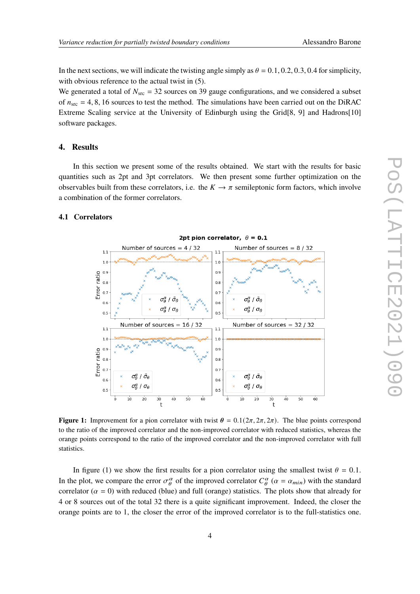In the next sections, we will indicate the twisting angle simply as  $\theta = 0.1, 0.2, 0.3, 0.4$  for simplicity, with obvious reference to the actual twist in  $(5)$ .

We generated a total of  $N_{\text{src}} = 32$  sources on 39 gauge configurations, and we considered a subset of  $n_{src} = 4, 8, 16$  sources to test the method. The simulations have been carried out on the DiRAC Extreme Scaling service at the University of Edinburgh using the Grid[\[8,](#page-10-1) [9\]](#page-10-2) and Hadrons[\[10\]](#page-10-3) software packages.

### **4. Results**

In this section we present some of the results obtained. We start with the results for basic quantities such as 2pt and 3pt correlators. We then present some further optimization on the observables built from these correlators, i.e. the  $K \to \pi$  semileptonic form factors, which involve a combination of the former correlators.

#### <span id="page-3-0"></span>**4.1 Correlators**



**Figure 1:** Improvement for a pion correlator with twist  $\theta = 0.1(2\pi, 2\pi, 2\pi)$ . The blue points correspond to the ratio of the improved correlator and the non-improved correlator with reduced statistics, whereas the orange points correspond to the ratio of the improved correlator and the non-improved correlator with full statistics.

In figure [\(1\)](#page-3-0) we show the first results for a pion correlator using the smallest twist  $\theta = 0.1$ . In the plot, we compare the error  $\sigma_\theta^{\alpha}$  of the improved correlator  $C_\theta^{\alpha}$  ( $\alpha = \alpha_{min}$ ) with the standard correlator ( $\alpha = 0$ ) with reduced (blue) and full (orange) statistics. The plots show that already for 4 or 8 sources out of the total 32 there is a quite significant improvement. Indeed, the closer the orange points are to 1, the closer the error of the improved correlator is to the full-statistics one.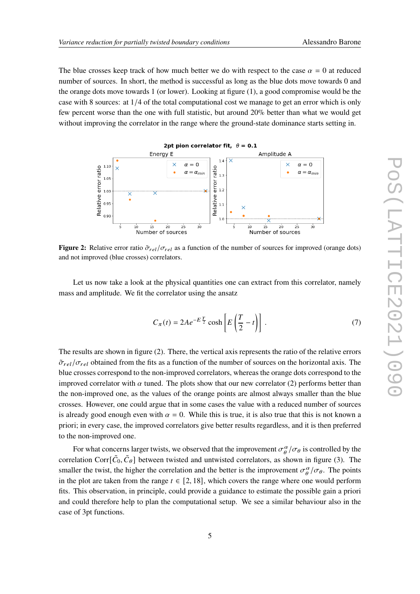The blue crosses keep track of how much better we do with respect to the case  $\alpha = 0$  at reduced number of sources. In short, the method is successful as long as the blue dots move towards 0 and the orange dots move towards 1 (or lower). Looking at figure [\(1\)](#page-3-0), a good compromise would be the case with 8 sources: at 1/4 of the total computational cost we manage to get an error which is only few percent worse than the one with full statistic, but around 20% better than what we would get without improving the correlator in the range where the ground-state dominance starts setting in.

<span id="page-4-0"></span>

**Figure 2:** Relative error ratio  $\tilde{\sigma}_{rel}/\sigma_{rel}$  as a function of the number of sources for improved (orange dots) and not improved (blue crosses) correlators.

Let us now take a look at the physical quantities one can extract from this correlator, namely mass and amplitude. We fit the correlator using the ansatz

<span id="page-4-1"></span>
$$
C_{\pi}(t) = 2A e^{-E\frac{T}{2}} \cosh\left[E\left(\frac{T}{2} - t\right)\right].
$$
 (7)

The results are shown in figure [\(2\)](#page-4-0). There, the vertical axis represents the ratio of the relative errors  $\tilde{\sigma}_{rel}/\sigma_{rel}$  obtained from the fits as a function of the number of sources on the horizontal axis. The blue crosses correspond to the non-improved correlators, whereas the orange dots correspond to the improved correlator with  $\alpha$  tuned. The plots show that our new correlator [\(2\)](#page-1-0) performs better than the non-improved one, as the values of the orange points are almost always smaller than the blue crosses. However, one could argue that in some cases the value with a reduced number of sources is already good enough even with  $\alpha = 0$ . While this is true, it is also true that this is not known a priori; in every case, the improved correlators give better results regardless, and it is then preferred to the non-improved one.

For what concerns larger twists, we observed that the improvement  $\sigma_\theta^\alpha/\sigma_\theta$  is controlled by the correlation Corr $[\tilde{C}_0, \tilde{C}_\theta]$  between twisted and untwisted correlators, as shown in figure [\(3\)](#page-5-0). The smaller the twist, the higher the correlation and the better is the improvement  $\sigma_\theta^{\alpha}/\sigma_\theta$ . The points in the plot are taken from the range  $t \in [2, 18]$ , which covers the range where one would perform fits. This observation, in principle, could provide a guidance to estimate the possible gain a priori and could therefore help to plan the computational setup. We see a similar behaviour also in the case of 3pt functions.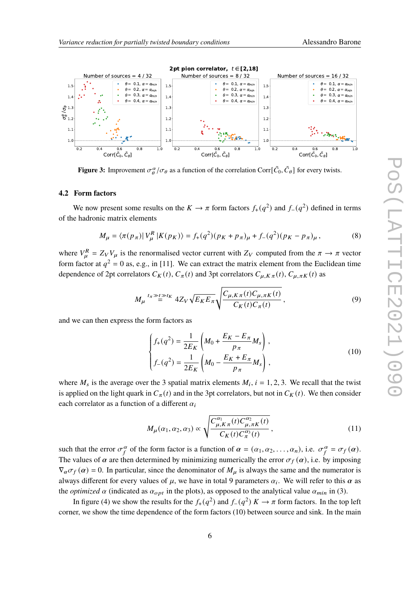<span id="page-5-0"></span>

**Figure 3:** Improvement  $\sigma_\theta^{\alpha}/\sigma_\theta$  as a function of the correlation Corr $[\tilde{C}_0, \tilde{C}_0]$  for every twists.

#### **4.2 Form factors**

We now present some results on the  $K \to \pi$  form factors  $f_+(q^2)$  and  $f_-(q^2)$  defined in terms of the hadronic matrix elements

$$
M_{\mu} = \langle \pi(p_{\pi}) | V_{\mu}^{R} | K(p_{K}) \rangle = f_{+}(q^{2})(p_{K} + p_{\pi})_{\mu} + f_{-}(q^{2})(p_{K} - p_{\pi})_{\mu}, \qquad (8)
$$

where  $V_{\mu}^{R} = Z_{V}V_{\mu}$  is the renormalised vector current with  $Z_{V}$  computed from the  $\pi \to \pi$  vector form factor at  $q^2 = 0$  as, e.g., in [\[11\]](#page-10-4). We can extract the matrix element from the Euclidean time dependence of 2pt correlators  $C_K(t)$ ,  $C_{\pi}(t)$  and 3pt correlators  $C_{\mu,K,\pi}(t)$ ,  $C_{\mu,\pi K}(t)$  as

$$
M_{\mu}^{\ t_{\pi} \gg t \gg t_K} 4Z_V \sqrt{E_K E_{\pi}} \sqrt{\frac{C_{\mu, K \pi}(t) C_{\mu, \pi K}(t)}{C_K(t) C_{\pi}(t)}},\tag{9}
$$

and we can then express the form factors as

<span id="page-5-1"></span>
$$
\begin{cases}\nf_{+}(q^{2}) = \frac{1}{2E_{K}} \left( M_{0} + \frac{E_{K} - E_{\pi}}{p_{\pi}} M_{s} \right), \\
f_{-}(q^{2}) = \frac{1}{2E_{K}} \left( M_{0} - \frac{E_{K} + E_{\pi}}{p_{\pi}} M_{s} \right),\n\end{cases}
$$
\n(10)

where  $M_s$  is the average over the 3 spatial matrix elements  $M_i$ ,  $i = 1, 2, 3$ . We recall that the twist is applied on the light quark in  $C_{\pi}(t)$  and in the 3pt correlators, but not in  $C_K(t)$ . We then consider each correlator as a function of a different  $\alpha_i$ 

$$
M_{\mu}(\alpha_1, \alpha_2, \alpha_3) \propto \sqrt{\frac{C_{\mu, K\pi}^{\alpha_1}(t) C_{\mu, \pi K}^{\alpha_2}(t)}{C_K(t) C_{\pi}^{\alpha_3}(t)}},
$$
\n(11)

such that the error  $\sigma_f^{\alpha}$  of the form factor is a function of  $\alpha = (\alpha_1, \alpha_2, ..., \alpha_n)$ , i.e.  $\sigma_f^{\alpha} = \sigma_f(\alpha)$ . The values of  $\alpha$  are then determined by minimizing numerically the error  $\sigma_f(\alpha)$ , i.e. by imposing  $\nabla_{\alpha} \sigma_f(\alpha) = 0$ . In particular, since the denominator of  $M_{\mu}$  is always the same and the numerator is always different for every values of  $\mu$ , we have in total 9 parameters  $\alpha_i$ . We will refer to this  $\alpha$  as the *optimized*  $\alpha$  (indicated as  $\alpha_{opt}$  in the plots), as opposed to the analytical value  $\alpha_{min}$  in [\(3\)](#page-2-1).

In figure [\(4\)](#page-6-0) we show the results for the  $f_+(q^2)$  and  $f_-(q^2)$   $K \to \pi$  form factors. In the top left corner, we show the time dependence of the form factors [\(10\)](#page-5-1) between source and sink. In the main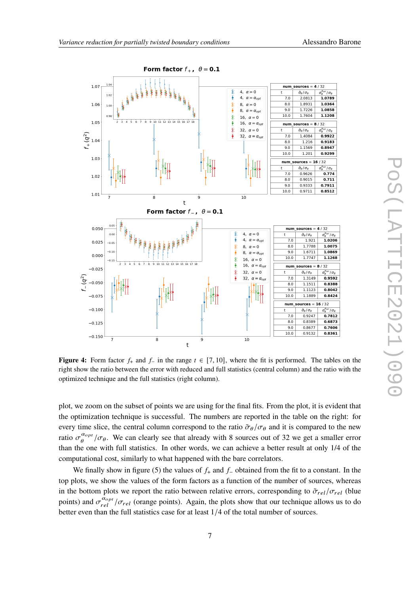<span id="page-6-0"></span>

**Figure 4:** Form factor  $f_{+}$  and  $f_{-}$  in the range  $t \in [7, 10]$ , where the fit is performed. The tables on the right show the ratio between the error with reduced and full statistics (central column) and the ratio with the optimized technique and the full statistics (right column).

plot, we zoom on the subset of points we are using for the final fits. From the plot, it is evident that the optimization technique is successful. The numbers are reported in the table on the right: for every time slice, the central column correspond to the ratio  $\tilde{\sigma}_{\theta}/\sigma_{\theta}$  and it is compared to the new ratio  $\sigma_{\theta}^{\alpha_{opt}}$  $\frac{\alpha_{opt}}{\theta}/\sigma_{\theta}$ . We can clearly see that already with 8 sources out of 32 we get a smaller error than the one with full statistics. In other words, we can achieve a better result at only 1/4 of the computational cost, similarly to what happened with the bare correlators.

We finally show in figure [\(5\)](#page-7-0) the values of  $f_{+}$  and  $f_{-}$  obtained from the fit to a constant. In the top plots, we show the values of the form factors as a function of the number of sources, whereas in the bottom plots we report the ratio between relative errors, corresponding to  $\tilde{\sigma}_{rel}/\sigma_{rel}$  (blue points) and  $\sigma_{rel}^{\alpha_{opt}}/\sigma_{rel}$  (orange points). Again, the plots show that our technique allows us to do better even than the full statistics case for at least 1/4 of the total number of sources.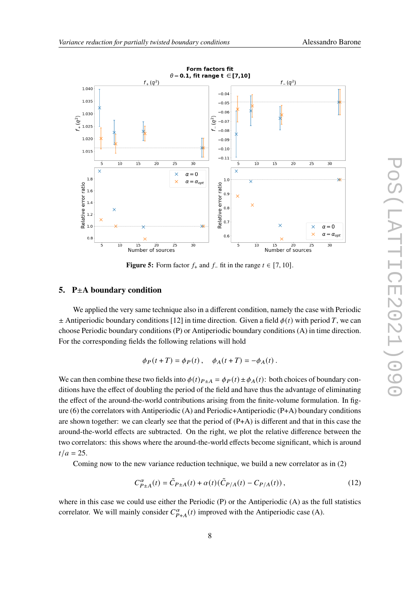<span id="page-7-0"></span>

**Figure 5:** Form factor  $f_+$  and  $f_-$  fit in the range  $t \in [7, 10]$ .

#### **5. P**±**A boundary condition**

We applied the very same technique also in a different condition, namely the case with Periodic  $\pm$  Antiperiodic boundary conditions [\[12\]](#page-10-5) in time direction. Given a field  $\phi(t)$  with period T, we can choose Periodic boundary conditions (P) or Antiperiodic boundary conditions (A) in time direction. For the corresponding fields the following relations will hold

$$
\phi_P(t+T) = \phi_P(t), \quad \phi_A(t+T) = -\phi_A(t).
$$

We can then combine these two fields into  $\phi(t)_{P\pm A} = \phi_P(t) \pm \phi_A(t)$ : both choices of boundary conditions have the effect of doubling the period of the field and have thus the advantage of eliminating the effect of the around-the-world contributions arising from the finite-volume formulation. In figure [\(6\)](#page-8-0) the correlators with Antiperiodic (A) and Periodic+Antiperiodic (P+A) boundary conditions are shown together: we can clearly see that the period of  $(P+A)$  is different and that in this case the around-the-world effects are subtracted. On the right, we plot the relative difference between the two correlators: this shows where the around-the-world effects become significant, which is around  $t/a = 25.$ 

Coming now to the new variance reduction technique, we build a new correlator as in [\(2\)](#page-1-0)

$$
C_{P\pm A}^{\alpha}(t) = \tilde{C}_{P\pm A}(t) + \alpha(t)\big(\tilde{C}_{P/A}(t) - C_{P/A}(t)\big),\tag{12}
$$

where in this case we could use either the Periodic (P) or the Antiperiodic (A) as the full statistics correlator. We will mainly consider  $C_{P+A}^{\alpha}(t)$  improved with the Antiperiodic case (A).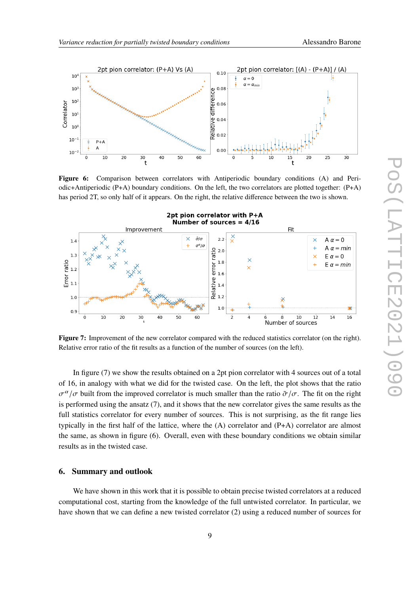<span id="page-8-0"></span>

**Figure 6:** Comparison between correlators with Antiperiodic boundary conditions (A) and Periodic+Antiperiodic (P+A) boundary conditions. On the left, the two correlators are plotted together: (P+A) has period 2T, so only half of it appears. On the right, the relative difference between the two is shown.

<span id="page-8-1"></span>

**Figure 7:** Improvement of the new correlator compared with the reduced statistics correlator (on the right). Relative error ratio of the fit results as a function of the number of sources (on the left).

In figure [\(7\)](#page-8-1) we show the results obtained on a 2pt pion correlator with 4 sources out of a total of 16, in analogy with what we did for the twisted case. On the left, the plot shows that the ratio  $\sigma^{\alpha}/\sigma$  built from the improved correlator is much smaller than the ratio  $\tilde{\sigma}/\sigma$ . The fit on the right is performed using the ansatz [\(7\)](#page-4-1), and it shows that the new correlator gives the same results as the full statistics correlator for every number of sources. This is not surprising, as the fit range lies typically in the first half of the lattice, where the (A) correlator and (P+A) correlator are almost the same, as shown in figure [\(6\)](#page-8-0). Overall, even with these boundary conditions we obtain similar results as in the twisted case.

#### **6. Summary and outlook**

We have shown in this work that it is possible to obtain precise twisted correlators at a reduced computational cost, starting from the knowledge of the full untwisted correlator. In particular, we have shown that we can define a new twisted correlator [\(2\)](#page-1-0) using a reduced number of sources for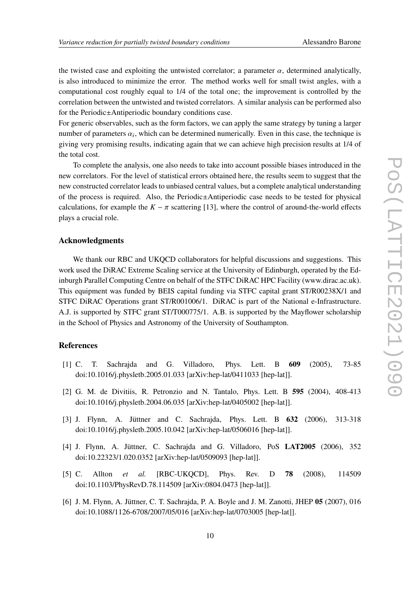the twisted case and exploiting the untwisted correlator; a parameter  $\alpha$ , determined analytically, is also introduced to minimize the error. The method works well for small twist angles, with a computational cost roughly equal to 1/4 of the total one; the improvement is controlled by the correlation between the untwisted and twisted correlators. A similar analysis can be performed also for the Periodic±Antiperiodic boundary conditions case.

For generic observables, such as the form factors, we can apply the same strategy by tuning a larger number of parameters  $\alpha_i$ , which can be determined numerically. Even in this case, the technique is giving very promising results, indicating again that we can achieve high precision results at 1/4 of the total cost.

To complete the analysis, one also needs to take into account possible biases introduced in the new correlators. For the level of statistical errors obtained here, the results seem to suggest that the new constructed correlator leads to unbiased central values, but a complete analytical understanding of the process is required. Also, the Periodic±Antiperiodic case needs to be tested for physical calculations, for example the  $K - \pi$  scattering [\[13\]](#page-10-6), where the control of around-the-world effects plays a crucial role.

#### **Acknowledgments**

We thank our RBC and UKOCD collaborators for helpful discussions and suggestions. This work used the DiRAC Extreme Scaling service at the University of Edinburgh, operated by the Edinburgh Parallel Computing Centre on behalf of the STFC DiRAC HPC Facility (www.dirac.ac.uk). This equipment was funded by BEIS capital funding via STFC capital grant ST/R00238X/1 and STFC DiRAC Operations grant ST/R001006/1. DiRAC is part of the National e-Infrastructure. A.J. is supported by STFC grant ST/T000775/1. A.B. is supported by the Mayflower scholarship in the School of Physics and Astronomy of the University of Southampton.

### **References**

- <span id="page-9-0"></span>[1] C. T. Sachrajda and G. Villadoro, Phys. Lett. B **609** (2005), 73-85 doi:10.1016/j.physletb.2005.01.033 [arXiv:hep-lat/0411033 [hep-lat]].
- <span id="page-9-1"></span>[2] G. M. de Divitiis, R. Petronzio and N. Tantalo, Phys. Lett. B **595** (2004), 408-413 doi:10.1016/j.physletb.2004.06.035 [arXiv:hep-lat/0405002 [hep-lat]].
- <span id="page-9-2"></span>[3] J. Flynn, A. Jüttner and C. Sachrajda, Phys. Lett. B **632** (2006), 313-318 doi:10.1016/j.physletb.2005.10.042 [arXiv:hep-lat/0506016 [hep-lat]].
- <span id="page-9-3"></span>[4] J. Flynn, A. Jüttner, C. Sachrajda and G. Villadoro, PoS **LAT2005** (2006), 352 doi:10.22323/1.020.0352 [arXiv:hep-lat/0509093 [hep-lat]].
- <span id="page-9-4"></span>[5] C. Allton *et al.* [RBC-UKQCD], Phys. Rev. D **78** (2008), 114509 doi:10.1103/PhysRevD.78.114509 [arXiv:0804.0473 [hep-lat]].
- <span id="page-9-5"></span>[6] J. M. Flynn, A. Jüttner, C. T. Sachrajda, P. A. Boyle and J. M. Zanotti, JHEP **05** (2007), 016 doi:10.1088/1126-6708/2007/05/016 [arXiv:hep-lat/0703005 [hep-lat]].